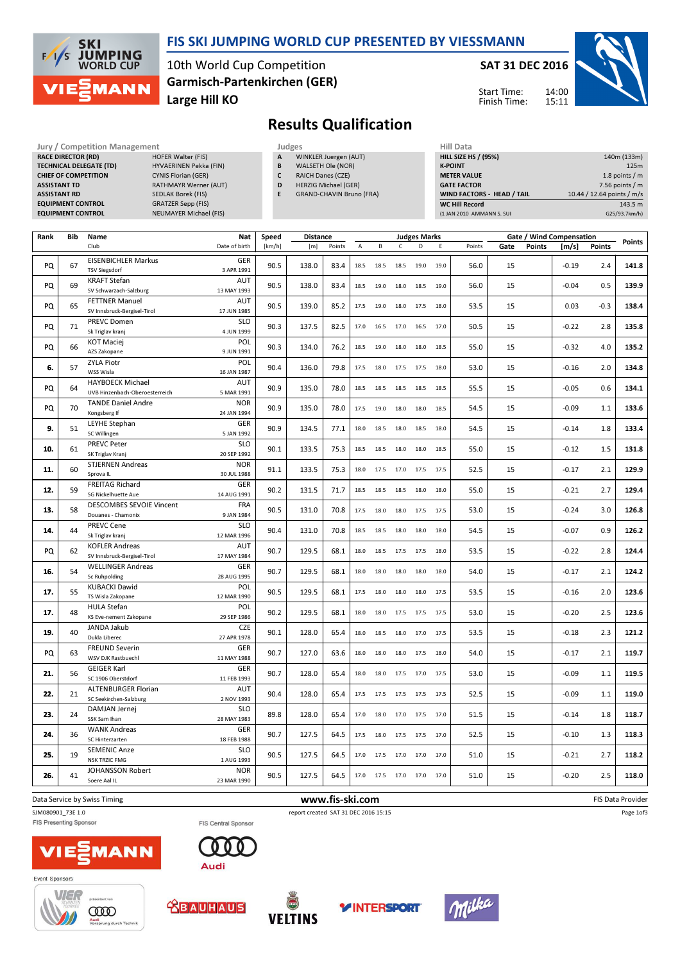

# FIS SKI JUMPING WORLD CUP PRESENTED BY VIESSMANN

10th World Cup Competition Large Hill KO Garmisch-Partenkirchen (GER) SAT 31 DEC 2016



Start Time: Finish Time:

# Results Qualification

Jury / Competition Management Judges<br>
RACE DIRECTOR (RD) HOFER Walter (FIS) A W RACE DIRECTOR (RD) TECHNICAL DELEGATE (TD) **CHIEF OF COMPETITION ASSISTANT TD ASSISTANT RD EQUIPMENT CONTROL** EQUIPMENT CONTROL

| HYVAERINEN Pekka (FIN)        |
|-------------------------------|
| <b>CYNIS Florian (GER)</b>    |
| RATHMAYR Werner (AUT)         |
| SEDLAK Borek (FIS)            |
| <b>GRATZER Sepp (FIS)</b>     |
| <b>NEUMAYER Michael (FIS)</b> |
|                               |

- WINKLER Juergen (AUT) B WALSETH Ole (NOR)
- C RAICH Danes (CZE)
- D HERZIG Michael (GER)
- E GRAND-CHAVIN Bruno (FRA)

| WIND FACTORS - HEAD / TAIL  | 10.44 / 12.64 points / m/s |
|-----------------------------|----------------------------|
|                             |                            |
| <b>GATE FACTOR</b>          | $7.56$ points / m          |
| <b>METER VALUE</b>          | 1.8 points $/m$            |
| <b>K-POINT</b>              | 125m                       |
| <b>HILL SIZE HS / (95%)</b> | 140m (133m)                |
| Hill Data                   |                            |

| Rank | <b>Bib</b> | Name                                                      | <b>Nat</b>                | Speed  | <b>Distance</b> |                 |      |      |             | <b>Judges Marks</b> |      |        |      |               | Gate / Wind Compensation |        |                   |
|------|------------|-----------------------------------------------------------|---------------------------|--------|-----------------|-----------------|------|------|-------------|---------------------|------|--------|------|---------------|--------------------------|--------|-------------------|
|      |            | Club                                                      | Date of birth             | [km/h] | [m]             | Points          | A    | В    | $\mathsf C$ | D                   | Ε    | Points | Gate | <b>Points</b> | [m/s]                    | Points | Points            |
| PQ   | 67         | <b>EISENBICHLER Markus</b><br><b>TSV Siegsdorf</b>        | <b>GER</b><br>3 APR 1991  | 90.5   | 138.0           | 83.4            | 18.5 | 18.5 | 18.5        | 19.0                | 19.0 | 56.0   | 15   |               | $-0.19$                  | 2.4    | 141.8             |
| PQ   | 69         | <b>KRAFT Stefan</b><br>SV Schwarzach-Salzburg             | AUT<br>13 MAY 1993        | 90.5   | 138.0           | 83.4            | 18.5 | 19.0 | 18.0        | 18.5                | 19.0 | 56.0   | 15   |               | $-0.04$                  | 0.5    | 139.9             |
| PQ   | 65         | <b>FETTNER Manuel</b><br>SV Innsbruck-Bergisel-Tirol      | AUT<br>17 JUN 1985        | 90.5   | 139.0           | 85.2            | 17.5 | 19.0 | 18.0        | 17.5                | 18.0 | 53.5   | 15   |               | 0.03                     | $-0.3$ | 138.4             |
| PQ   | 71         | PREVC Domen<br>Sk Triglav kranj                           | <b>SLO</b><br>4 JUN 1999  | 90.3   | 137.5           | 82.5            | 17.0 | 16.5 | 17.0        | 16.5                | 17.0 | 50.5   | 15   |               | $-0.22$                  | 2.8    | 135.8             |
| PQ   | 66         | <b>KOT Maciej</b><br>AZS Zakopane                         | POL<br>9 JUN 1991         | 90.3   | 134.0           | 76.2            | 18.5 | 19.0 | 18.0        | 18.0                | 18.5 | 55.0   | 15   |               | $-0.32$                  | 4.0    | 135.2             |
| 6.   | 57         | <b>ZYLA Piotr</b><br>WSS Wisla                            | POL<br>16 JAN 1987        | 90.4   | 136.0           | 79.8            | 17.5 | 18.0 | 17.5        | 17.5                | 18.0 | 53.0   | 15   |               | $-0.16$                  | 2.0    | 134.8             |
| PQ   | 64         | <b>HAYBOECK Michael</b><br>UVB Hinzenbach-Oberoesterreich | <b>AUT</b><br>5 MAR 1991  | 90.9   | 135.0           | 78.0            | 18.5 | 18.5 | 18.5        | 18.5                | 18.5 | 55.5   | 15   |               | $-0.05$                  | 0.6    | 134.1             |
| PQ   | 70         | <b>TANDE Daniel Andre</b><br>Kongsberg If                 | <b>NOR</b><br>24 JAN 1994 | 90.9   | 135.0           | 78.0            | 17.5 | 19.0 | 18.0        | 18.0                | 18.5 | 54.5   | 15   |               | $-0.09$                  | 1.1    | 133.6             |
| 9.   | 51         | <b>LEYHE Stephan</b><br>SC Willingen                      | <b>GER</b><br>5 JAN 1992  | 90.9   | 134.5           | 77.1            | 18.0 | 18.5 | 18.0        | 18.5                | 18.0 | 54.5   | 15   |               | $-0.14$                  | 1.8    | 133.4             |
| 10.  | 61         | <b>PREVC Peter</b><br>SK Triglav Kranj                    | <b>SLO</b><br>20 SEP 1992 | 90.1   | 133.5           | 75.3            | 18.5 | 18.5 | 18.0        | 18.0                | 18.5 | 55.0   | 15   |               | $-0.12$                  | 1.5    | 131.8             |
| 11.  | 60         | <b>STJERNEN Andreas</b><br>Sprova IL                      | <b>NOR</b><br>30 JUL 1988 | 91.1   | 133.5           | 75.3            | 18.0 | 17.5 | 17.0        | 17.5                | 17.5 | 52.5   | 15   |               | $-0.17$                  | 2.1    | 129.9             |
| 12.  | 59         | <b>FREITAG Richard</b><br>SG Nickelhuette Aue             | GER<br>14 AUG 1991        | 90.2   | 131.5           | 71.7            | 18.5 | 18.5 | 18.5        | 18.0                | 18.0 | 55.0   | 15   |               | $-0.21$                  | 2.7    | 129.4             |
| 13.  | 58         | <b>DESCOMBES SEVOIE Vincent</b><br>Douanes - Chamonix     | FRA<br>9 JAN 1984         | 90.5   | 131.0           | 70.8            | 17.5 | 18.0 | 18.0        | 17.5                | 17.5 | 53.0   | 15   |               | $-0.24$                  | 3.0    | 126.8             |
| 14.  | 44         | <b>PREVC Cene</b><br>Sk Triglav kranj                     | <b>SLO</b><br>12 MAR 1996 | 90.4   | 131.0           | 70.8            | 18.5 | 18.5 | 18.0        | 18.0                | 18.0 | 54.5   | 15   |               | $-0.07$                  | 0.9    | 126.2             |
| PQ   | 62         | <b>KOFLER Andreas</b><br>SV Innsbruck-Bergisel-Tirol      | <b>AUT</b><br>17 MAY 1984 | 90.7   | 129.5           | 68.1            | 18.0 | 18.5 | 17.5        | 17.5                | 18.0 | 53.5   | 15   |               | $-0.22$                  | 2.8    | 124.4             |
| 16.  | 54         | <b>WELLINGER Andreas</b><br>Sc Ruhpolding                 | GER<br>28 AUG 1995        | 90.7   | 129.5           | 68.1            | 18.0 | 18.0 | 18.0        | 18.0                | 18.0 | 54.0   | 15   |               | $-0.17$                  | 2.1    | 124.2             |
| 17.  | 55         | <b>KUBACKI Dawid</b><br>TS Wisla Zakopane                 | POL<br>12 MAR 1990        | 90.5   | 129.5           | 68.1            | 17.5 | 18.0 | 18.0        | 18.0                | 17.5 | 53.5   | 15   |               | $-0.16$                  | 2.0    | 123.6             |
| 17.  | 48         | HULA Stefan<br>KS Eve-nement Zakopane                     | POL<br>29 SEP 1986        | 90.2   | 129.5           | 68.1            | 18.0 | 18.0 | 17.5        | 17.5                | 17.5 | 53.0   | 15   |               | $-0.20$                  | 2.5    | 123.6             |
| 19.  | 40         | JANDA Jakub<br>Dukla Liberec                              | <b>CZE</b><br>27 APR 1978 | 90.1   | 128.0           | 65.4            | 18.0 | 18.5 | 18.0        | 17.0                | 17.5 | 53.5   | 15   |               | $-0.18$                  | 2.3    | 121.2             |
| PQ   | 63         | <b>FREUND Severin</b><br>WSV DJK Rastbuechl               | GER<br>11 MAY 1988        | 90.7   | 127.0           | 63.6            | 18.0 | 18.0 | 18.0        | 17.5                | 18.0 | 54.0   | 15   |               | $-0.17$                  | 2.1    | 119.7             |
| 21.  | 56         | <b>GEIGER Karl</b><br>SC 1906 Oberstdorf                  | GER<br>11 FEB 1993        | 90.7   | 128.0           | 65.4            | 18.0 | 18.0 | 17.5        | 17.0                | 17.5 | 53.0   | 15   |               | $-0.09$                  | 1.1    | 119.5             |
| 22.  | 21         | <b>ALTENBURGER Florian</b><br>SC Seekirchen-Salzburg      | AUT<br>2 NOV 1993         | 90.4   | 128.0           | 65.4            | 17.5 | 17.5 | 17.5        | 17.5                | 17.5 | 52.5   | 15   |               | $-0.09$                  | 1.1    | 119.0             |
| 23.  | 24         | DAMJAN Jernej<br>SSK Sam Ihan                             | <b>SLO</b><br>28 MAY 1983 | 89.8   | 128.0           | 65.4            | 17.0 | 18.0 | 17.0        | 17.5                | 17.0 | 51.5   | 15   |               | $-0.14$                  | 1.8    | 118.7             |
| 24.  | 36         | <b>WANK Andreas</b><br>SC Hinterzarten                    | GER<br>18 FEB 1988        | 90.7   | 127.5           | 64.5            | 17.5 | 18.0 | 17.5        | 17.5                | 17.0 | 52.5   | 15   |               | $-0.10$                  | 1.3    | 118.3             |
| 25.  | 19         | <b>SEMENIC Anze</b><br><b>NSK TRZIC FMG</b>               | <b>SLO</b><br>1 AUG 1993  | 90.5   | 127.5           | 64.5            | 17.0 | 17.5 | 17.0        | 17.0                | 17.0 | 51.0   | 15   |               | $-0.21$                  | 2.7    | 118.2             |
| 26.  | 41         | JOHANSSON Robert<br>Soere Aal IL                          | <b>NOR</b><br>23 MAR 1990 | 90.5   | 127.5           | 64.5            | 17.0 | 17.5 | 17.0        | 17.0                | 17.0 | 51.0   | 15   |               | $-0.20$                  | 2.5    | 118.0             |
|      |            | Data Service by Swiss Timing                              |                           |        |                 | www.fis-ski.com |      |      |             |                     |      |        |      |               |                          |        | FIS Data Provider |

**FIS Central Sponsor** 

Page 1of3

SJM080901\_73E 1.0 report created SAT 31 DEC 2016 15:15<br>FIS Central Sponsor FIS Central Sponsor





Event Sponsors









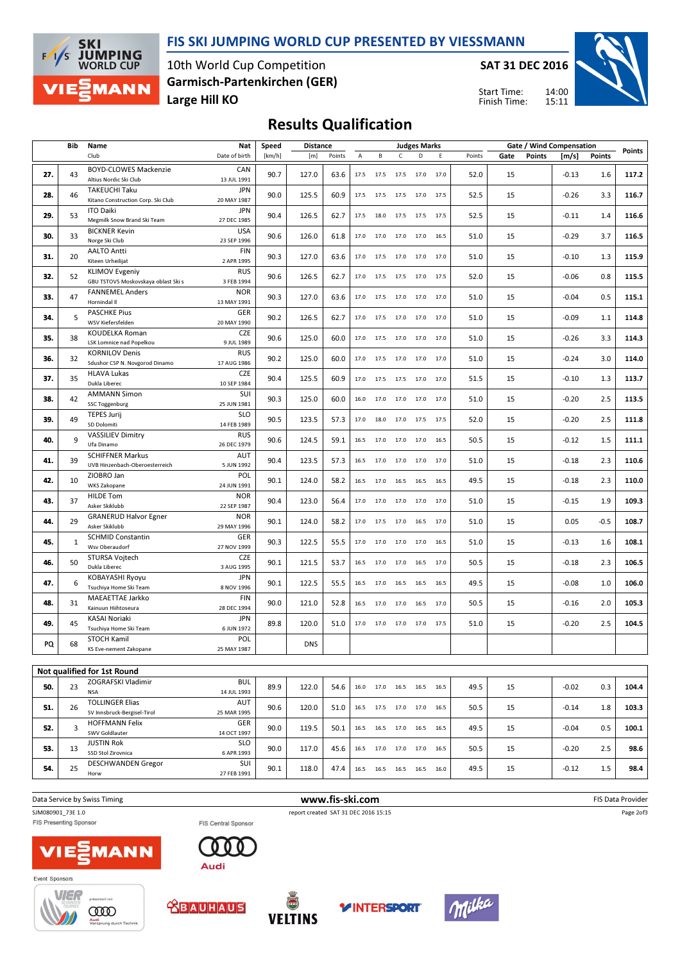

### FIS SKI JUMPING WORLD CUP PRESENTED BY VIESSMANN

10th World Cup Competition Large Hill KO Garmisch-Partenkirchen (GER) SAT 31 DEC 2016

14:00 15:11 Start Time: Finish Time:



# Results Qualification

|     | Bib | Name                                                         | Nat                       | Speed  | <b>Distance</b> |        |      |                          |                | <b>Judges Marks</b>    |      |        | Gate / Wind Compensation | Points        |         |         |       |
|-----|-----|--------------------------------------------------------------|---------------------------|--------|-----------------|--------|------|--------------------------|----------------|------------------------|------|--------|--------------------------|---------------|---------|---------|-------|
|     |     | Club                                                         | Date of birth             | [km/h] | [m]             | Points | A    | В                        | $\mathsf{C}$   | D                      | Ε    | Points | Gate                     | <b>Points</b> | [m/s]   | Points  |       |
| 27. | 43  | BOYD-CLOWES Mackenzie<br>Altius Nordic Ski Club              | CAN<br>13 JUL 1991        | 90.7   | 127.0           | 63.6   | 17.5 | 17.5                     | 17.5           | 17.0                   | 17.0 | 52.0   | 15                       |               | $-0.13$ | 1.6     | 117.2 |
| 28. | 46  | TAKEUCHI Taku<br>Kitano Construction Corp. Ski Club          | <b>JPN</b><br>20 MAY 1987 | 90.0   | 125.5           | 60.9   | 17.5 | 17.5                     | 17.5           | 17.0                   | 17.5 | 52.5   | 15                       |               | $-0.26$ | 3.3     | 116.7 |
| 29. | 53  | <b>ITO Daiki</b><br>Megmilk Snow Brand Ski Team              | <b>JPN</b><br>27 DEC 1985 | 90.4   | 126.5           | 62.7   | 17.5 | 18.0                     | 17.5           | 17.5                   | 17.5 | 52.5   | 15                       |               | $-0.11$ | 1.4     | 116.6 |
| 30. | 33  | <b>BICKNER Kevin</b><br>Norge Ski Club                       | <b>USA</b><br>23 SEP 1996 | 90.6   | 126.0           | 61.8   | 17.0 | 17.0                     |                | 17.0 17.0              | 16.5 | 51.0   | 15                       |               | $-0.29$ | 3.7     | 116.5 |
| 31. | 20  | <b>AALTO Antti</b><br>Kiteen Urheilijat                      | <b>FIN</b><br>2 APR 1995  | 90.3   | 127.0           | 63.6   | 17.0 | 17.5                     | 17.0           | 17.0                   | 17.0 | 51.0   | 15                       |               | $-0.10$ | 1.3     | 115.9 |
| 32. | 52  | <b>KLIMOV Evgeniy</b><br>GBU TSTOVS Moskovskaya oblast Ski s | <b>RUS</b><br>3 FEB 1994  | 90.6   | 126.5           | 62.7   | 17.0 | 17.5                     | 17.5           | 17.0                   | 17.5 | 52.0   | 15                       |               | $-0.06$ | 0.8     | 115.5 |
| 33. | 47  | <b>FANNEMEL Anders</b><br>Hornindal II                       | <b>NOR</b><br>13 MAY 1991 | 90.3   | 127.0           | 63.6   | 17.0 | 17.5                     | 17.0           | 17.0                   | 17.0 | 51.0   | 15                       |               | $-0.04$ | 0.5     | 115.1 |
| 34. | 5   | <b>PASCHKE Pius</b><br>WSV Kiefersfelden                     | GER<br>20 MAY 1990        | 90.2   | 126.5           | 62.7   | 17.0 | 17.5                     | 17.0           | 17.0                   | 17.0 | 51.0   | 15                       |               | $-0.09$ | 1.1     | 114.8 |
| 35. | 38  | KOUDELKA Roman<br>LSK Lomnice nad Popelkou                   | <b>CZE</b><br>9 JUL 1989  | 90.6   | 125.0           | 60.0   | 17.0 | 17.5                     | 17.0           | 17.0                   | 17.0 | 51.0   | 15                       |               | $-0.26$ | 3.3     | 114.3 |
| 36. | 32  | <b>KORNILOV Denis</b><br>Sdushor CSP N. Novgorod Dinamo      | <b>RUS</b><br>17 AUG 1986 | 90.2   | 125.0           | 60.0   | 17.0 | 17.5                     | 17.0           | 17.0                   | 17.0 | 51.0   | 15                       |               | $-0.24$ | 3.0     | 114.0 |
| 37. | 35  | <b>HLAVA Lukas</b><br>Dukla Liberec                          | <b>CZE</b><br>10 SEP 1984 | 90.4   | 125.5           | 60.9   | 17.0 | 17.5                     | 17.5           | 17.0                   | 17.0 | 51.5   | 15                       |               | $-0.10$ | 1.3     | 113.7 |
| 38. | 42  | <b>AMMANN Simon</b><br><b>SSC Toggenburg</b>                 | SUI<br>25 JUN 1981        | 90.3   | 125.0           | 60.0   | 16.0 | 17.0                     | 17.0           | 17.0                   | 17.0 | 51.0   | 15                       |               | $-0.20$ | 2.5     | 113.5 |
| 39. | 49  | <b>TEPES Jurij</b><br>SD Dolomiti                            | <b>SLO</b><br>14 FEB 1989 | 90.5   | 123.5           | 57.3   | 17.0 | 18.0                     | 17.0           | 17.5                   | 17.5 | 52.0   | 15                       |               | $-0.20$ | 2.5     | 111.8 |
| 40. | 9   | <b>VASSILIEV Dimitry</b><br>Ufa Dinamo                       | <b>RUS</b><br>26 DEC 1979 | 90.6   | 124.5           | 59.1   | 16.5 | 17.0                     | 17.0           | 17.0                   | 16.5 | 50.5   | 15                       |               | $-0.12$ | 1.5     | 111.1 |
| 41. | 39  | <b>SCHIFFNER Markus</b><br>UVB Hinzenbach-Oberoesterreich    | <b>AUT</b><br>5 JUN 1992  | 90.4   | 123.5           | 57.3   | 16.5 | 17.0                     | 17.0           | 17.0                   | 17.0 | 51.0   | 15                       |               | $-0.18$ | 2.3     | 110.6 |
| 42. | 10  | ZIOBRO Jan<br>WKS Zakopane                                   | POL<br>24 JUN 1991        | 90.1   | 124.0           | 58.2   | 16.5 | 17.0                     | 16.5           | 16.5                   | 16.5 | 49.5   | 15                       |               | $-0.18$ | 2.3     | 110.0 |
| 43. | 37  | <b>HILDE Tom</b><br>Asker Skiklubb                           | <b>NOR</b><br>22 SEP 1987 | 90.4   | 123.0           | 56.4   | 17.0 | 17.0                     | 17.0           | 17.0                   | 17.0 | 51.0   | 15                       |               | $-0.15$ | 1.9     | 109.3 |
| 44. | 29  | <b>GRANERUD Halvor Egner</b><br>Asker Skiklubb               | <b>NOR</b><br>29 MAY 1996 | 90.1   | 124.0           | 58.2   | 17.0 | 17.5                     | 17.0           | 16.5                   | 17.0 | 51.0   | 15                       |               | 0.05    | $-0.5$  | 108.7 |
| 45. | 1   | <b>SCHMID Constantin</b><br>Wsv Oberaudorf                   | <b>GER</b><br>27 NOV 1999 | 90.3   | 122.5           | 55.5   | 17.0 | 17.0                     | 17.0           | 17.0                   | 16.5 | 51.0   | 15                       |               | $-0.13$ | 1.6     | 108.1 |
| 46. | 50  | STURSA Vojtech<br>Dukla Liberec                              | <b>CZE</b><br>3 AUG 1995  | 90.1   | 121.5           | 53.7   | 16.5 | 17.0                     | 17.0           | 16.5                   | 17.0 | 50.5   | 15                       |               | $-0.18$ | 2.3     | 106.5 |
| 47. | 6   | KOBAYASHI Ryoyu<br>Tsuchiya Home Ski Team                    | <b>JPN</b><br>8 NOV 1996  | 90.1   | 122.5           | 55.5   | 16.5 | 17.0                     | 16.5           | 16.5                   | 16.5 | 49.5   | 15                       |               | $-0.08$ | 1.0     | 106.0 |
| 48. | 31  | MAEAETTAE Jarkko<br>Kainuun Hiihtoseura                      | <b>FIN</b><br>28 DEC 1994 | 90.0   | 121.0           | 52.8   | 16.5 | 17.0                     | 17.0           | 16.5                   | 17.0 | 50.5   | 15                       |               | $-0.16$ | 2.0     | 105.3 |
| 49. | 45  | <b>KASAI Noriaki</b><br>Tsuchiya Home Ski Team               | <b>JPN</b><br>6 JUN 1972  | 89.8   | 120.0           | 51.0   |      | 17.0 17.0 17.0 17.0      |                |                        | 17.5 | 51.0   | 15                       |               | $-0.20$ | 2.5     | 104.5 |
| PQ  | 68  | STOCH Kamil<br>KS Eve-nement Zakopane                        | POL<br>25 MAY 1987        |        | <b>DNS</b>      |        |      |                          |                |                        |      |        |                          |               |         |         |       |
|     |     |                                                              |                           |        |                 |        |      |                          |                |                        |      |        |                          |               |         |         |       |
|     |     | Not qualified for 1st Round                                  |                           |        |                 |        |      |                          |                |                        |      |        |                          |               |         |         |       |
| 50. | 23  | ZOGRAFSKI Vladimir<br><b>NSA</b>                             | <b>BUL</b><br>14 JUL 1993 | 89.9   | 122.0           | 54.6   | 16.0 |                          |                | 17.0  16.5  16.5  16.5 |      | 49.5   | 15                       |               | $-0.02$ | 0.3     | 104.4 |
| 51. | 26  | <b>TOLLINGER Elias</b><br>SV Innsbruck-Bergisel-Tirol        | AUT<br>25 MAR 1995        | 90.6   | 120.0           | 51.0   |      | 16.5 17.5 17.0 17.0 16.5 |                |                        |      | 50.5   | 15                       |               | $-0.14$ | 1.8     | 103.3 |
| 52. | 3   | <b>HOFFMANN Felix</b><br><b>SWV Goldlauter</b>               | GER<br>14 OCT 1997        | 90.0   | 119.5           | 50.1   |      | 16.5 16.5 17.0 16.5      |                |                        | 16.5 | 49.5   | 15                       |               | $-0.04$ | 0.5     | 100.1 |
| 53. | 13  | <b>JUSTIN Rok</b><br>SSD Stol Zirovnica                      | <b>SLO</b><br>6 APR 1993  | 90.0   | 117.0           | 45.6   | 16.5 |                          | 17.0 17.0 17.0 |                        | 16.5 | 50.5   | 15                       |               | $-0.20$ | 2.5     | 98.6  |
| 54. | 25  | <b>DESCHWANDEN Gregor</b><br>Horw                            | SUI<br>27 FEB 1991        | 90.1   | 118.0           | 47.4   |      | 16.5 16.5 16.5 16.5      |                |                        | 16.0 | 49.5   | 15                       |               | $-0.12$ | $1.5\,$ | 98.4  |